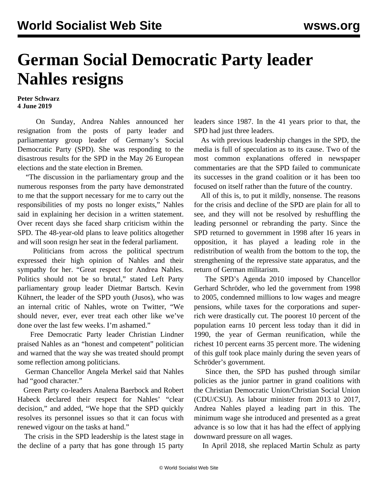## **German Social Democratic Party leader Nahles resigns**

## **Peter Schwarz 4 June 2019**

 On Sunday, Andrea Nahles announced her resignation from the posts of party leader and parliamentary group leader of Germany's Social Democratic Party (SPD). She was responding to the disastrous results for the SPD in the May 26 European elections and the state election in Bremen.

 "The discussion in the parliamentary group and the numerous responses from the party have demonstrated to me that the support necessary for me to carry out the responsibilities of my posts no longer exists," Nahles said in explaining her decision in a written statement. Over recent days she faced sharp criticism within the SPD. The 48-year-old plans to leave politics altogether and will soon resign her seat in the federal parliament.

 Politicians from across the political spectrum expressed their high opinion of Nahles and their sympathy for her. "Great respect for Andrea Nahles. Politics should not be so brutal," stated Left Party parliamentary group leader Dietmar Bartsch. Kevin Kühnert, the leader of the SPD youth (Jusos), who was an internal critic of Nahles, wrote on Twitter, "We should never, ever, ever treat each other like we've done over the last few weeks. I'm ashamed."

 Free Democratic Party leader Christian Lindner praised Nahles as an "honest and competent" politician and warned that the way she was treated should prompt some reflection among politicians.

 German Chancellor Angela Merkel said that Nahles had "good character."

 Green Party co-leaders Analena Baerbock and Robert Habeck declared their respect for Nahles' "clear decision," and added, "We hope that the SPD quickly resolves its personnel issues so that it can focus with renewed vigour on the tasks at hand."

 The crisis in the SPD leadership is the latest stage in the decline of a party that has gone through 15 party leaders since 1987. In the 41 years prior to that, the SPD had just three leaders.

 As with previous leadership changes in the SPD, the media is full of speculation as to its cause. Two of the most common explanations offered in newspaper commentaries are that the SPD failed to communicate its successes in the grand coalition or it has been too focused on itself rather than the future of the country.

 All of this is, to put it mildly, nonsense. The reasons for the crisis and decline of the SPD are plain for all to see, and they will not be resolved by reshuffling the leading personnel or rebranding the party. Since the SPD returned to government in 1998 after 16 years in opposition, it has played a leading role in the redistribution of wealth from the bottom to the top, the strengthening of the repressive state apparatus, and the return of German militarism.

 The SPD's Agenda 2010 imposed by Chancellor Gerhard Schröder, who led the government from 1998 to 2005, condemned millions to low wages and meagre pensions, while taxes for the corporations and superrich were drastically cut. The poorest 10 percent of the population earns 10 percent less today than it did in 1990, the year of German reunification, while the richest 10 percent earns 35 percent more. The widening of this gulf took place mainly during the seven years of Schröder's government.

 Since then, the SPD has pushed through similar policies as the junior partner in grand coalitions with the Christian Democratic Union/Christian Social Union (CDU/CSU). As labour minister from 2013 to 2017, Andrea Nahles played a leading part in this. The minimum wage she introduced and presented as a great advance is so low that it has had the effect of applying downward pressure on all wages.

In April 2018, she replaced Martin Schulz as party